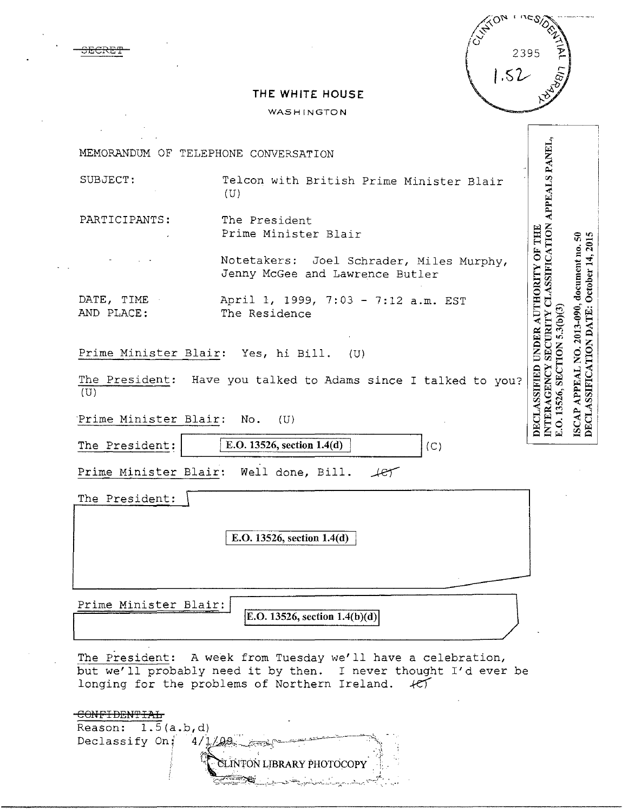| <b>CUNTION</b> | nesions |                              |
|----------------|---------|------------------------------|
|                | 2395    | $\frac{\lambda}{\mathbf{p}}$ |
|                | 1.52    |                              |
|                |         |                              |

## **THE WHITE HOUSE**

3ECRE'P

 $\mathcal{L}^{\mathcal{L}}$ 

## WASHINGTON

| MEMORANDUM OF TELEPHONE CONVERSATION              |                                                                                                                        |                                                                                     |                                                                                              |
|---------------------------------------------------|------------------------------------------------------------------------------------------------------------------------|-------------------------------------------------------------------------------------|----------------------------------------------------------------------------------------------|
|                                                   |                                                                                                                        |                                                                                     |                                                                                              |
| SUBJECT:                                          | Telcon with British Prime Minister Blair<br>(U)                                                                        |                                                                                     |                                                                                              |
|                                                   |                                                                                                                        | APPEALS PANEL,                                                                      |                                                                                              |
| PARTICIPANTS:                                     | The President                                                                                                          |                                                                                     |                                                                                              |
|                                                   | Prime Minister Blair                                                                                                   |                                                                                     |                                                                                              |
|                                                   | Notetakers: Joel Schrader, Miles Murphy,                                                                               |                                                                                     |                                                                                              |
|                                                   | Jenny McGee and Lawrence Butler                                                                                        | <b>ASSIFICATION</b>                                                                 |                                                                                              |
| DATE, TIME                                        | April 1, 1999, 7:03 - 7:12 a.m. EST                                                                                    |                                                                                     |                                                                                              |
| AND PLACE:                                        | The Residence                                                                                                          |                                                                                     |                                                                                              |
|                                                   |                                                                                                                        | <b>SECURITY</b>                                                                     |                                                                                              |
| Prime Minister Blair: Yes, hi Bill.               | (U)                                                                                                                    |                                                                                     |                                                                                              |
|                                                   | The President: Have you talked to Adams since I talked to you?                                                         |                                                                                     |                                                                                              |
| (U)                                               |                                                                                                                        |                                                                                     |                                                                                              |
| Prime Minister Blair: No.                         | (U)                                                                                                                    | DECLASSIFIED UNDER AUTHORITY OF THE<br>E.O. 13526, SECTION 5.3(b)(3)<br>INTERAGENCY | ISCAP APPEAL NO. 2013-090, document no. 50<br><b>DECLASSIFICATION DATE: October 14, 2015</b> |
|                                                   |                                                                                                                        |                                                                                     |                                                                                              |
| The President:                                    | E.O. 13526, section 1.4(d)<br>(C)                                                                                      |                                                                                     |                                                                                              |
|                                                   | Prime Minister Blair: Well done, Bill.<br>$-$                                                                          |                                                                                     |                                                                                              |
| The President:                                    |                                                                                                                        |                                                                                     |                                                                                              |
|                                                   |                                                                                                                        |                                                                                     |                                                                                              |
|                                                   | E.O. 13526, section 1.4(d)                                                                                             |                                                                                     |                                                                                              |
|                                                   |                                                                                                                        |                                                                                     |                                                                                              |
|                                                   |                                                                                                                        |                                                                                     |                                                                                              |
| Prime Minister Blair:                             |                                                                                                                        |                                                                                     |                                                                                              |
|                                                   | E.O. 13526, section $1.4(b)(d)$                                                                                        |                                                                                     |                                                                                              |
|                                                   |                                                                                                                        |                                                                                     |                                                                                              |
|                                                   | The President: A week from Tuesday we'll have a celebration,                                                           |                                                                                     |                                                                                              |
|                                                   | but we'll probably need it by then. I never thought I'd ever be<br>longing for the problems of Northern Ireland.<br>FT |                                                                                     |                                                                                              |
|                                                   |                                                                                                                        |                                                                                     |                                                                                              |
| <del>CONFIDENTIAL</del>                           |                                                                                                                        |                                                                                     |                                                                                              |
| Reason: $1.5(a.b,d)$<br>Declassify On: $4/1/99$ . |                                                                                                                        |                                                                                     |                                                                                              |
|                                                   |                                                                                                                        |                                                                                     |                                                                                              |

 $\alpha$  Linton library photocopy<sup>.</sup> ~·:o'~-.-~~-=---~-.:- -..\_';.. =-,:\_\_\_ '------ :,;- -'-, '. "- <sup>~</sup>

أبراء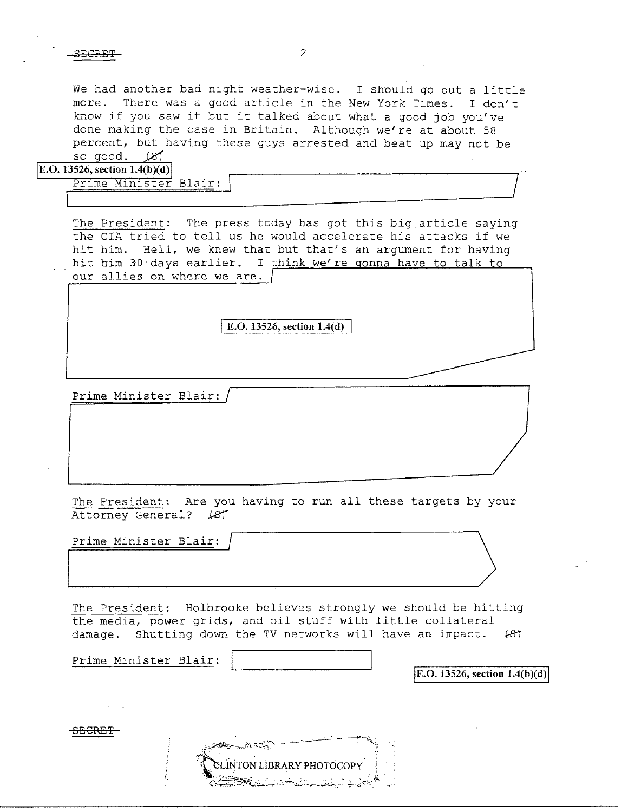We had another bad night weather-wise. I should go out a little more. There was a good article in the New York Times. I don't know if you saw it but it talked about what a good job you've done making the case in Britain. Although we're at about 58 percent, but having these guys arrested and beat up may not be so good. (8)

|  |  |  |  | <b>E.O.</b> 13526, section 1.4(b)(d) |
|--|--|--|--|--------------------------------------|
|--|--|--|--|--------------------------------------|

| .9340, Secuoli 1.4(D)(U)} |  |  |
|---------------------------|--|--|
| Prime Minister Blair:     |  |  |
|                           |  |  |
|                           |  |  |

The President: The press today has got this big article saying the CIA tried to tell us he would accelerate his attacks if we hit him. Hell, we knew that but that's an argument for having hit him 30 days earlier. I think we're gonna have to talk to our allies on where we are. /

I E.O. 13526, section **1.4(d)** 

Prime Minister Blair:

The President: Are you having to run all these targets by your Attorney General? (87)

Prime Minister Blair:

The President: Holbrooke believes strongly we should be hitting the media, power grids, and oil stuff with little collateral damage. Shutting down the TV networks will have an impact.  $\{B\}$ 

Prime Minister Blair:

SECRE<del>T</del>

 $|E.O. 13526$ , section  $1.4(b)(d)|$ 

**INTON LIBRARY PHOTOCOPY**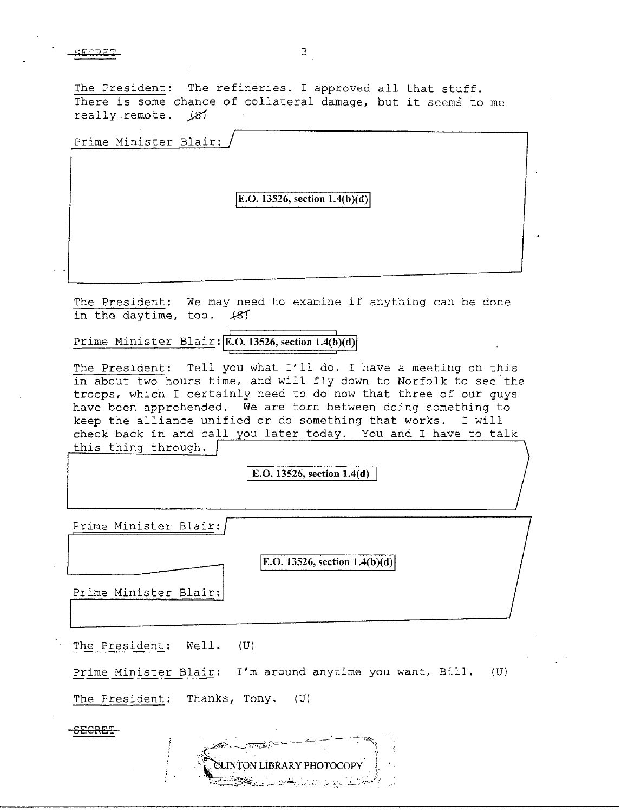The President: The refineries. I approved all that stuff. There is some chance of collateral damage, but it seems to me really remote.  $\cancel{81}$ 

Prime Minister Blair:

## **E.O. 13526, section 1.4(b)(d)**

The President: We may need to examine if anything can be done in the daytime, too. *ks1* 

Prime Minister Blair: **E.O. 13526, section 1.4(b)(d)** 

The President: Tell you what I'll do. I have a meeting on this in about two hours time, and will fly down to Norfolk to see the troops, which I certainly need to do now that three of our guys have been apprehended. We are torn between doing something to keep the alliance unified or do something that works. I will check back in and call you later today. You and I have to talk this thing through.

I E.O. **13526, section 1.4(d)** 

Prime Minister Blair:

 $|E.O. 13526$ , section  $1.4(b)(d)|$ 

Prime Minister Blair:

The President: Well. (U)

Prime Minister Blair: I'm around anytime you want, Bill. (U)

The President: Thanks, Tony. (U}

SECRET